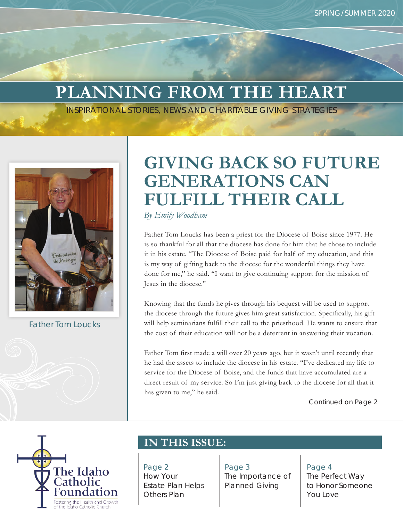# **PLANNING FROM THE HEART**

*INSPIRATIONAL STORIES, NEWS AND CHARITABLE GIVING STRATEGIES*



*Father Tom Loucks*

# **GIVING BACK SO FUTURE GENERATIONS CAN FULFILL THEIR CALL**

*By Emily Woodham*

Father Tom Loucks has been a priest for the Diocese of Boise since 1977. He is so thankful for all that the diocese has done for him that he chose to include it in his estate. "The Diocese of Boise paid for half of my education, and this is my way of gifting back to the diocese for the wonderful things they have done for me," he said. "I want to give continuing support for the mission of Jesus in the diocese."

Knowing that the funds he gives through his bequest will be used to support the diocese through the future gives him great satisfaction. Specifically, his gift will help seminarians fulfill their call to the priesthood. He wants to ensure that the cost of their education will not be a deterrent in answering their vocation.

Father Tom first made a will over 20 years ago, but it wasn't until recently that he had the assets to include the diocese in his estate. "I've dedicated my life to service for the Diocese of Boise, and the funds that have accumulated are a direct result of my service. So I'm just giving back to the diocese for all that it has given to me," he said.

*Continued on Page 2*



## **IN THIS ISSUE:**

Page 2 How Your Estate Plan Helps Others Plan

Page 3 The Importance of Planned Giving

Page 4

The Perfect Way to Honor Someone You Love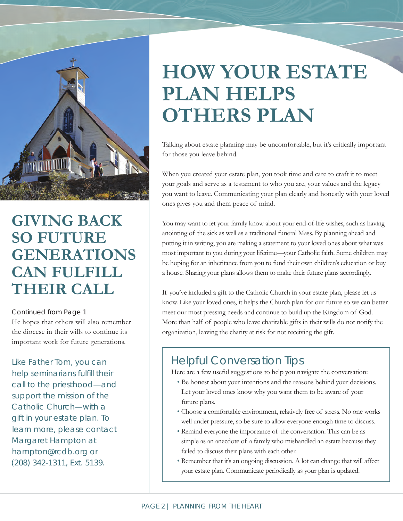

## **GIVING BACK SO FUTURE GENERATIONS CAN FULFILL THEIR CALL**

#### *Continued from Page 1*

He hopes that others will also remember the diocese in their wills to continue its important work for future generations.

Like Father Tom, you can help seminarians fulfill their call to the priesthood—and support the mission of the Catholic Church—with a gift in your estate plan. To learn more, please contact Margaret Hampton at hampton@rcdb.org or (208) 342-1311, Ext. 5139.

# **HOW YOUR ESTATE PLAN HELPS OTHERS PLAN**

Talking about estate planning may be uncomfortable, but it's critically important for those you leave behind.

When you created your estate plan, you took time and care to craft it to meet your goals and serve as a testament to who you are, your values and the legacy you want to leave. Communicating your plan clearly and honestly with your loved ones gives you and them peace of mind.

You may want to let your family know about your end-of-life wishes, such as having anointing of the sick as well as a traditional funeral Mass. By planning ahead and putting it in writing, you are making a statement to your loved ones about what was most important to you during your lifetime—your Catholic faith. Some children may be hoping for an inheritance from you to fund their own children's education or buy a house. Sharing your plans allows them to make their future plans accordingly.

If you've included a gift to the Catholic Church in your estate plan, please let us know. Like your loved ones, it helps the Church plan for our future so we can better meet our most pressing needs and continue to build up the Kingdom of God. More than half of people who leave charitable gifts in their wills do not notify the organization, leaving the charity at risk for not receiving the gift.

### Helpful Conversation Tips

Here are a few useful suggestions to help you navigate the conversation:

- Be honest about your intentions and the reasons behind your decisions. Let your loved ones know why you want them to be aware of your future plans.
- Choose a comfortable environment, relatively free of stress. No one works well under pressure, so be sure to allow everyone enough time to discuss.
- Remind everyone the importance of the conversation. This can be as simple as an anecdote of a family who mishandled an estate because they failed to discuss their plans with each other.
- Remember that it's an ongoing discussion. A lot can change that will affect your estate plan. Communicate periodically as your plan is updated.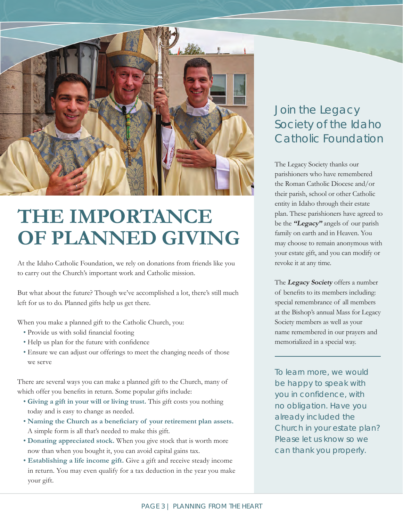

# **THE IMPORTANCE OF PLANNED GIVING**

At the Idaho Catholic Foundation, we rely on donations from friends like you to carry out the Church's important work and Catholic mission.

But what about the future? Though we've accomplished a lot, there's still much left for us to do. Planned gifts help us get there.

When you make a planned gift to the Catholic Church, you:

- Provide us with solid financial footing
- Help us plan for the future with confidence
- Ensure we can adjust our offerings to meet the changing needs of those we serve

There are several ways you can make a planned gift to the Church, many of which offer you benefits in return. Some popular gifts include:

- **Giving a gift in your will or living trust.** This gift costs you nothing today and is easy to change as needed.
- **Naming the Church as a beneficiary of your retirement plan assets.** A simple form is all that's needed to make this gift.
- **Donating appreciated stock.** When you give stock that is worth more now than when you bought it, you can avoid capital gains tax.
- **Establishing a life income gift.** Give a gift and receive steady income in return. You may even qualify for a tax deduction in the year you make your gift.

### Join the Legacy Society of the Idaho Catholic Foundation

The Legacy Society thanks our parishioners who have remembered the Roman Catholic Diocese and/or their parish, school or other Catholic entity in Idaho through their estate plan. These parishioners have agreed to be the **"Legacy"** angels of our parish family on earth and in Heaven. You may choose to remain anonymous with your estate gift, and you can modify or revoke it at any time.

The **Legacy Society** offers a number of benefits to its members including: special remembrance of all members at the Bishop's annual Mass for Legacy Society members as well as your name remembered in our prayers and memorialized in a special way.

To learn more, we would be happy to speak with you in confidence, with no obligation. Have you already included the Church in your estate plan? Please let us know so we can thank you properly.